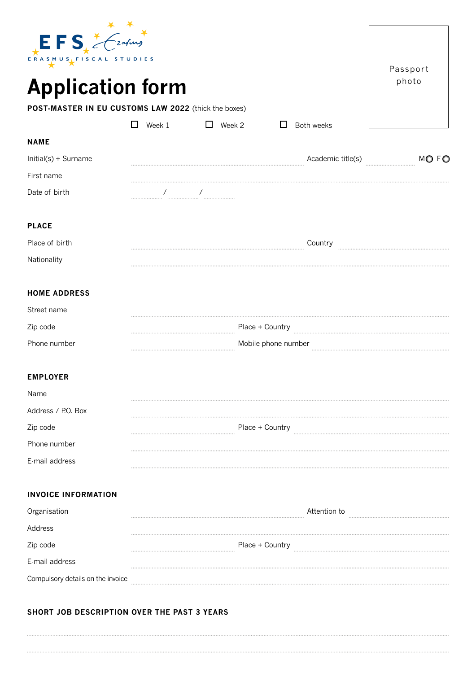| $EFS$ $\leq$ $\leq$ $\leq$ $\leq$ $\leq$ $\leq$ $\leq$ $\leq$ $\leq$ $\leq$ $\leq$ $\leq$ $\leq$ $\leq$ $\leq$ $\leq$ $\leq$ $\leq$ $\leq$ $\leq$ $\leq$ $\leq$ $\leq$ $\leq$ $\leq$ $\leq$ $\leq$ $\leq$ $\leq$ $\leq$ $\leq$ $\leq$ $\leq$ $\leq$ $\leq$ $\leq$ | <b>TUDIES</b> |               |                     | Passport |
|-------------------------------------------------------------------------------------------------------------------------------------------------------------------------------------------------------------------------------------------------------------------|---------------|---------------|---------------------|----------|
| <b>Application form</b>                                                                                                                                                                                                                                           |               |               |                     | photo    |
| POST-MASTER IN EU CUSTOMS LAW 2022 (thick the boxes)                                                                                                                                                                                                              |               |               |                     |          |
|                                                                                                                                                                                                                                                                   | Week 1<br>□   | $\Box$ Week 2 | Both weeks<br>□     |          |
| <b>NAME</b>                                                                                                                                                                                                                                                       |               |               |                     |          |
| Initial(s) + Surname                                                                                                                                                                                                                                              |               |               | Academic title(s)   | MO FO    |
| First name                                                                                                                                                                                                                                                        |               |               |                     |          |
| Date of birth                                                                                                                                                                                                                                                     |               |               |                     |          |
| <b>PLACE</b>                                                                                                                                                                                                                                                      |               |               |                     |          |
| Place of birth                                                                                                                                                                                                                                                    |               |               | Country             |          |
| Nationality                                                                                                                                                                                                                                                       |               |               |                     |          |
| <b>HOME ADDRESS</b>                                                                                                                                                                                                                                               |               |               |                     |          |
| Street name                                                                                                                                                                                                                                                       |               |               |                     |          |
| Zip code                                                                                                                                                                                                                                                          |               |               | Place + Country     |          |
| Phone number                                                                                                                                                                                                                                                      |               |               | Mobile phone number |          |
| <b>EMPLOYER</b>                                                                                                                                                                                                                                                   |               |               |                     |          |
| Name                                                                                                                                                                                                                                                              |               |               |                     |          |
| Address / P.O. Box                                                                                                                                                                                                                                                |               |               |                     |          |
| Zip code                                                                                                                                                                                                                                                          |               |               | Place + Country     |          |
| Phone number                                                                                                                                                                                                                                                      |               |               |                     |          |
| E-mail address                                                                                                                                                                                                                                                    |               |               |                     |          |
| <b>INVOICE INFORMATION</b>                                                                                                                                                                                                                                        |               |               |                     |          |
| Organisation                                                                                                                                                                                                                                                      |               |               | Attention to        |          |
| Address                                                                                                                                                                                                                                                           |               |               |                     |          |
| Zip code                                                                                                                                                                                                                                                          |               |               | Place + Country     |          |
| E-mail address                                                                                                                                                                                                                                                    |               |               |                     |          |
| Compulsory details on the invoice                                                                                                                                                                                                                                 |               |               |                     |          |

# **SHORT JOB DESCRIPTION OVER THE PAST 3 YEARS**